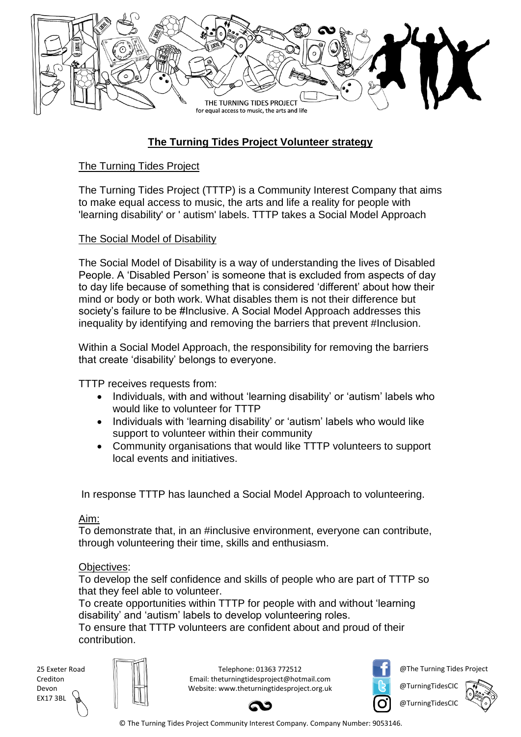

# **The Turning Tides Project Volunteer strategy**

## The Turning Tides Project

The Turning Tides Project (TTTP) is a Community Interest Company that aims to make equal access to music, the arts and life a reality for people with 'learning disability' or ' autism' labels. TTTP takes a Social Model Approach

#### The Social Model of Disability

The Social Model of Disability is a way of understanding the lives of Disabled People. A 'Disabled Person' is someone that is excluded from aspects of day to day life because of something that is considered 'different' about how their mind or body or both work. What disables them is not their difference but society's failure to be #Inclusive. A Social Model Approach addresses this inequality by identifying and removing the barriers that prevent #Inclusion.

Within a Social Model Approach, the responsibility for removing the barriers that create 'disability' belongs to everyone.

TTTP receives requests from:

- Individuals, with and without 'learning disability' or 'autism' labels who would like to volunteer for TTTP
- Individuals with 'learning disability' or 'autism' labels who would like support to volunteer within their community
- Community organisations that would like TTTP volunteers to support local events and initiatives.

In response TTTP has launched a Social Model Approach to volunteering.

#### Aim:

To demonstrate that, in an #inclusive environment, everyone can contribute, through volunteering their time, skills and enthusiasm.

#### Objectives:

To develop the self confidence and skills of people who are part of TTTP so that they feel able to volunteer.

To create opportunities within TTTP for people with and without 'learning disability' and 'autism' labels to develop volunteering roles.

To ensure that TTTP volunteers are confident about and proud of their contribution.

25 Exeter Road Crediton Devon EX17 3BL

Telephone: 01363 772512 Email: theturningtidesproject@hotmail.com Website: www.theturningtidesproject.org.uk



@The Turning Tides Project

@TurningTidesCIC @TurningTidesCIC

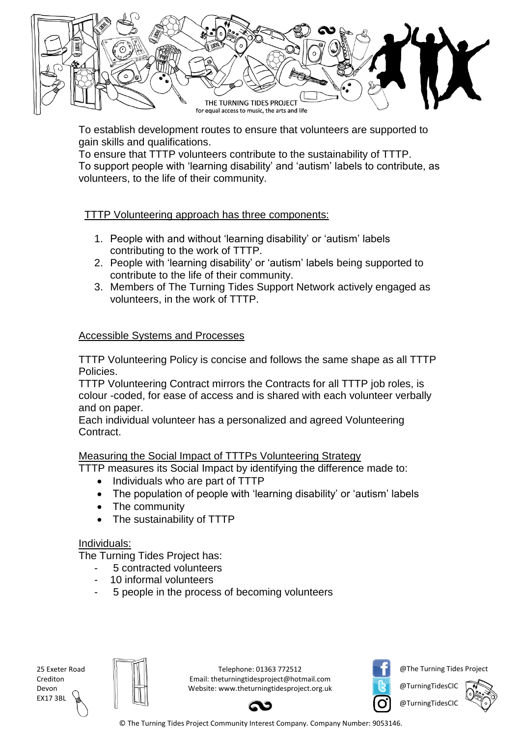

To establish development routes to ensure that volunteers are supported to gain skills and qualifications.

To ensure that TTTP volunteers contribute to the sustainability of TTTP. To support people with 'learning disability' and 'autism' labels to contribute, as volunteers, to the life of their community.

## TTTP Volunteering approach has three components:

- 1. People with and without 'learning disability' or 'autism' labels contributing to the work of TTTP.
- 2. People with 'learning disability' or 'autism' labels being supported to contribute to the life of their community.
- 3. Members of The Turning Tides Support Network actively engaged as volunteers, in the work of TTTP.

### Accessible Systems and Processes

TTTP Volunteering Policy is concise and follows the same shape as all TTTP Policies.

TTTP Volunteering Contract mirrors the Contracts for all TTTP job roles, is colour -coded, for ease of access and is shared with each volunteer verbally and on paper.

Each individual volunteer has a personalized and agreed Volunteering Contract.

#### Measuring the Social Impact of TTTPs Volunteering Strategy

TTTP measures its Social Impact by identifying the difference made to:

- Individuals who are part of TTTP
- The population of people with 'learning disability' or 'autism' labels
- The community
- The sustainability of TTTP

#### Individuals:

The Turning Tides Project has:

- 5 contracted volunteers
- 10 informal volunteers
- 5 people in the process of becoming volunteers

25 Exeter Road Crediton Devon EX17 3BL



Telephone: 01363 772512 Email: theturningtidesproject@hotmail.com Website: www.theturningtidesproject.org.uk



@The Turning Tides Project

@TurningTidesCIC @TurningTidesCIC

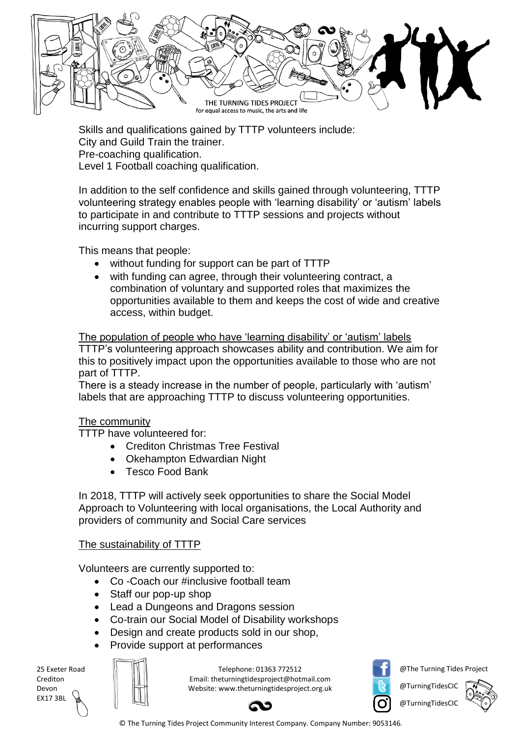

Skills and qualifications gained by TTTP volunteers include: City and Guild Train the trainer. Pre-coaching qualification. Level 1 Football coaching qualification.

In addition to the self confidence and skills gained through volunteering, TTTP volunteering strategy enables people with 'learning disability' or 'autism' labels to participate in and contribute to TTTP sessions and projects without incurring support charges.

This means that people:

- without funding for support can be part of TTTP
- with funding can agree, through their volunteering contract, a combination of voluntary and supported roles that maximizes the opportunities available to them and keeps the cost of wide and creative access, within budget.

The population of people who have 'learning disability' or 'autism' labels TTTP's volunteering approach showcases ability and contribution. We aim for this to positively impact upon the opportunities available to those who are not part of TTTP.

There is a steady increase in the number of people, particularly with 'autism' labels that are approaching TTTP to discuss volunteering opportunities.

#### The community

TTTP have volunteered for:

- Crediton Christmas Tree Festival
- Okehampton Edwardian Night
- Tesco Food Bank

In 2018, TTTP will actively seek opportunities to share the Social Model Approach to Volunteering with local organisations, the Local Authority and providers of community and Social Care services

## The sustainability of TTTP

Volunteers are currently supported to:

- Co -Coach our #inclusive football team
- Staff our pop-up shop
- Lead a Dungeons and Dragons session
- Co-train our Social Model of Disability workshops
- Design and create products sold in our shop,
- Provide support at performances

| 25 Exeter Road  |  |
|-----------------|--|
| Crediton        |  |
| Devon           |  |
| <b>EX17 3BL</b> |  |
|                 |  |

Telephone: 01363 772512 Email: theturningtidesproject@hotmail.com Website: www.theturningtidesproject.org.uk



@The Turning Tides Project

@TurningTidesCIC

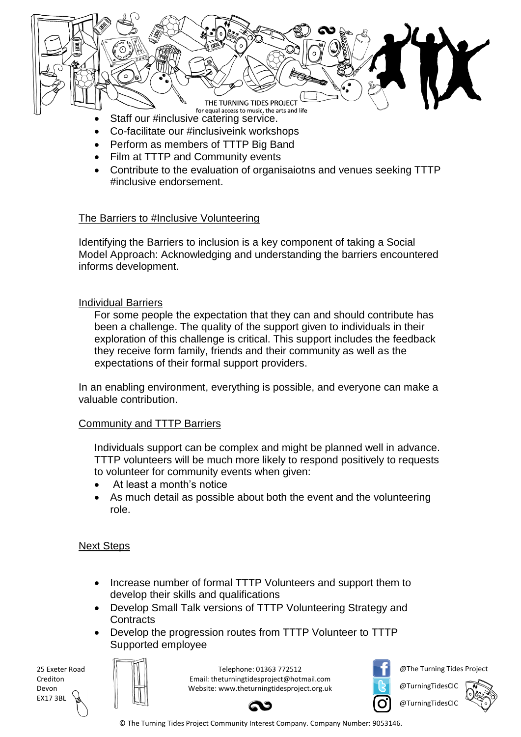

- Co-facilitate our #inclusiveink workshops
- Perform as members of TTTP Big Band
- Film at TTTP and Community events
- Contribute to the evaluation of organisaiotns and venues seeking TTTP #inclusive endorsement.

#### The Barriers to #Inclusive Volunteering

Identifying the Barriers to inclusion is a key component of taking a Social Model Approach: Acknowledging and understanding the barriers encountered informs development.

#### Individual Barriers

For some people the expectation that they can and should contribute has been a challenge. The quality of the support given to individuals in their exploration of this challenge is critical. This support includes the feedback they receive form family, friends and their community as well as the expectations of their formal support providers.

In an enabling environment, everything is possible, and everyone can make a valuable contribution.

#### Community and TTTP Barriers

Individuals support can be complex and might be planned well in advance. TTTP volunteers will be much more likely to respond positively to requests to volunteer for community events when given:

- At least a month's notice
- As much detail as possible about both the event and the volunteering role.

#### Next Steps

- Increase number of formal TTTP Volunteers and support them to develop their skills and qualifications
- Develop Small Talk versions of TTTP Volunteering Strategy and **Contracts**
- Develop the progression routes from TTTP Volunteer to TTTP Supported employee

25 Exeter Road Crediton Devon EX17 3BL

Telephone: 01363 772512 Email: theturningtidesproject@hotmail.com Website: www.theturningtidesproject.org.uk



@The Turning Tides Project

@TurningTidesCIC